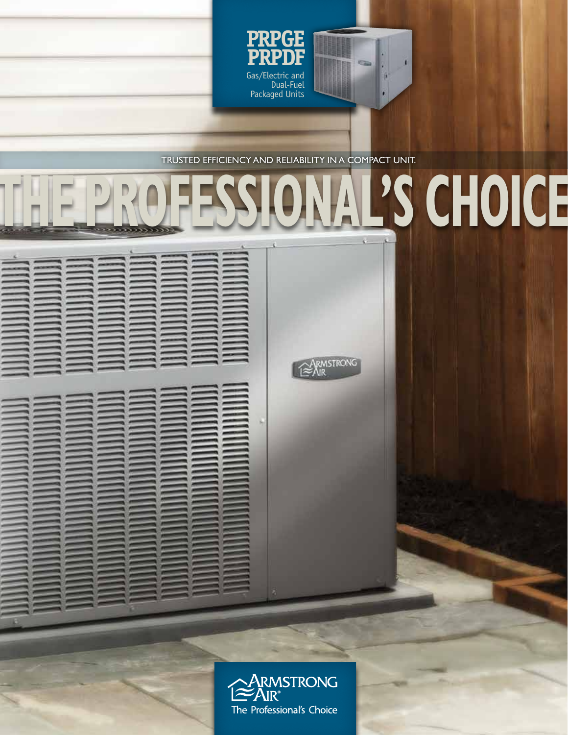

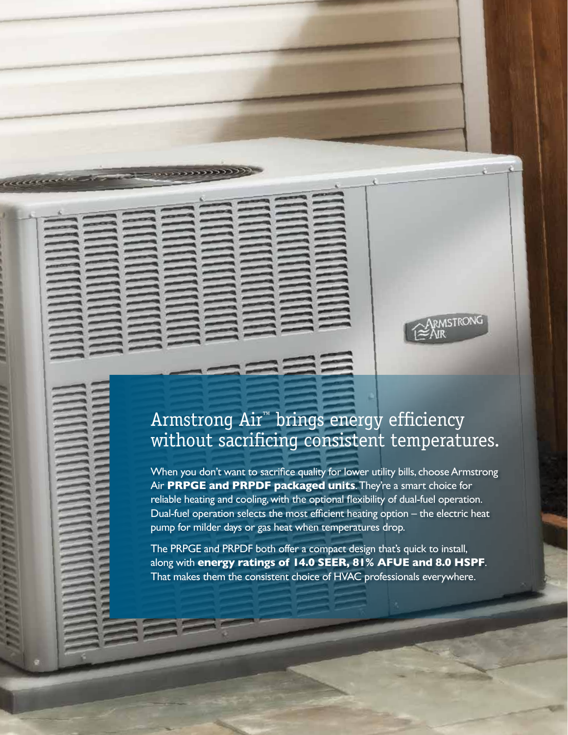# Armstrong Air™ brings energy efficiency without sacrificing consistent temperatures.

RMSTRONG

added

When you don't want to sacrifice quality for lower utility bills, choose Armstrong Air **PRPGE and PRPDF packaged units**. They're a smart choice for reliable heating and cooling, with the optional flexibility of dual-fuel operation. Dual-fuel operation selects the most efficient heating option – the electric heat pump for milder days or gas heat when temperatures drop.

The PRPGE and PRPDF both offer a compact design that's quick to install, along with **energy ratings of 14.0 SEER, 81% AFUE and 8.0 HSPF**. That makes them the consistent choice of HVAC professionals everywhere.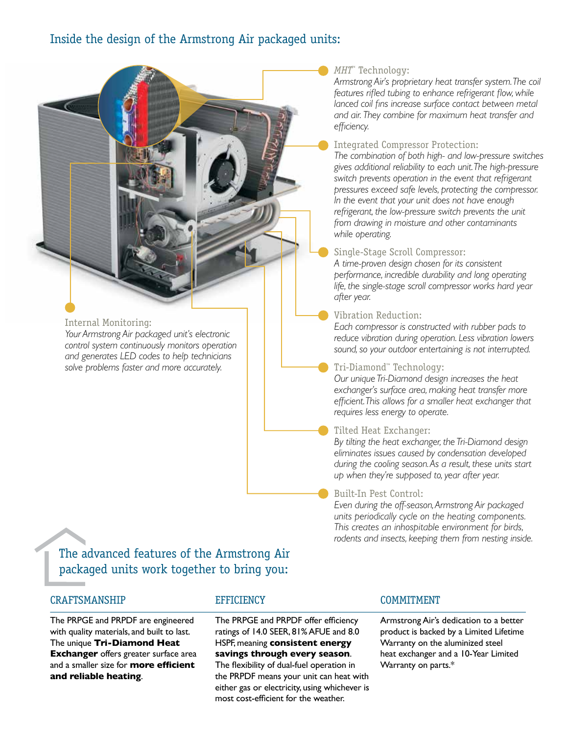## Inside the design of the Armstrong Air packaged units:

#### *MHT*™ Technology:

*Armstrong Air's proprietary heat transfer system. The coil features rifled tubing to enhance refrigerant flow, while lanced coil fins increase surface contact between metal and air. They combine for maximum heat transfer and efficiency.* 

#### Integrated Compressor Protection:

*The combination of both high- and low-pressure switches gives additional reliability to each unit. The high-pressure switch prevents operation in the event that refrigerant pressures exceed safe levels, protecting the compressor. In the event that your unit does not have enough refrigerant, the low-pressure switch prevents the unit from drawing in moisture and other contaminants while operating.*

#### Single-Stage Scroll Compressor:

*A time-proven design chosen for its consistent performance, incredible durability and long operating life, the single-stage scroll compressor works hard year after year.*

#### Vibration Reduction:

*Each compressor is constructed with rubber pads to reduce vibration during operation. Less vibration lowers sound, so your outdoor entertaining is not interrupted.*

#### Tri-Diamond™ Technology:

*Our unique Tri-Diamond design increases the heat exchanger's surface area, making heat transfer more efficient. This allows for a smaller heat exchanger that requires less energy to operate.*

#### Tilted Heat Exchanger:

*By tilting the heat exchanger, the Tri-Diamond design eliminates issues caused by condensation developed during the cooling season. As a result, these units start up when they're supposed to, year after year.*

#### Built-In Pest Control:

*Even during the off-season, Armstrong Air packaged units periodically cycle on the heating components. This creates an inhospitable environment for birds, rodents and insects, keeping them from nesting inside.*

The advanced features of the Armstrong Air packaged units work together to bring you:

### CRAFTSMANSHIP

Internal Monitoring:

*Your Armstrong Air packaged unit's electronic control system continuously monitors operation and generates LED codes to help technicians solve problems faster and more accurately.*

The PRPGE and PRPDF are engineered with quality materials, and built to last. The unique **Tri-Diamond Heat Exchanger** offers greater surface area and a smaller size for **more efficient and reliable heating**.

#### **EFFICIENCY**

The PRPGE and PRPDF offer efficiency ratings of 14.0 SEER, 81% AFUE and 8.0 HSPF, meaning **consistent energy savings through every season**. The flexibility of dual-fuel operation in the PRPDF means your unit can heat with

#### **COMMITMENT**

Armstrong Air's dedication to a better product is backed by a Limited Lifetime Warranty on the aluminized steel heat exchanger and a 10-Year Limited Warranty on parts.\*

either gas or electricity, using whichever is most cost-efficient for the weather.